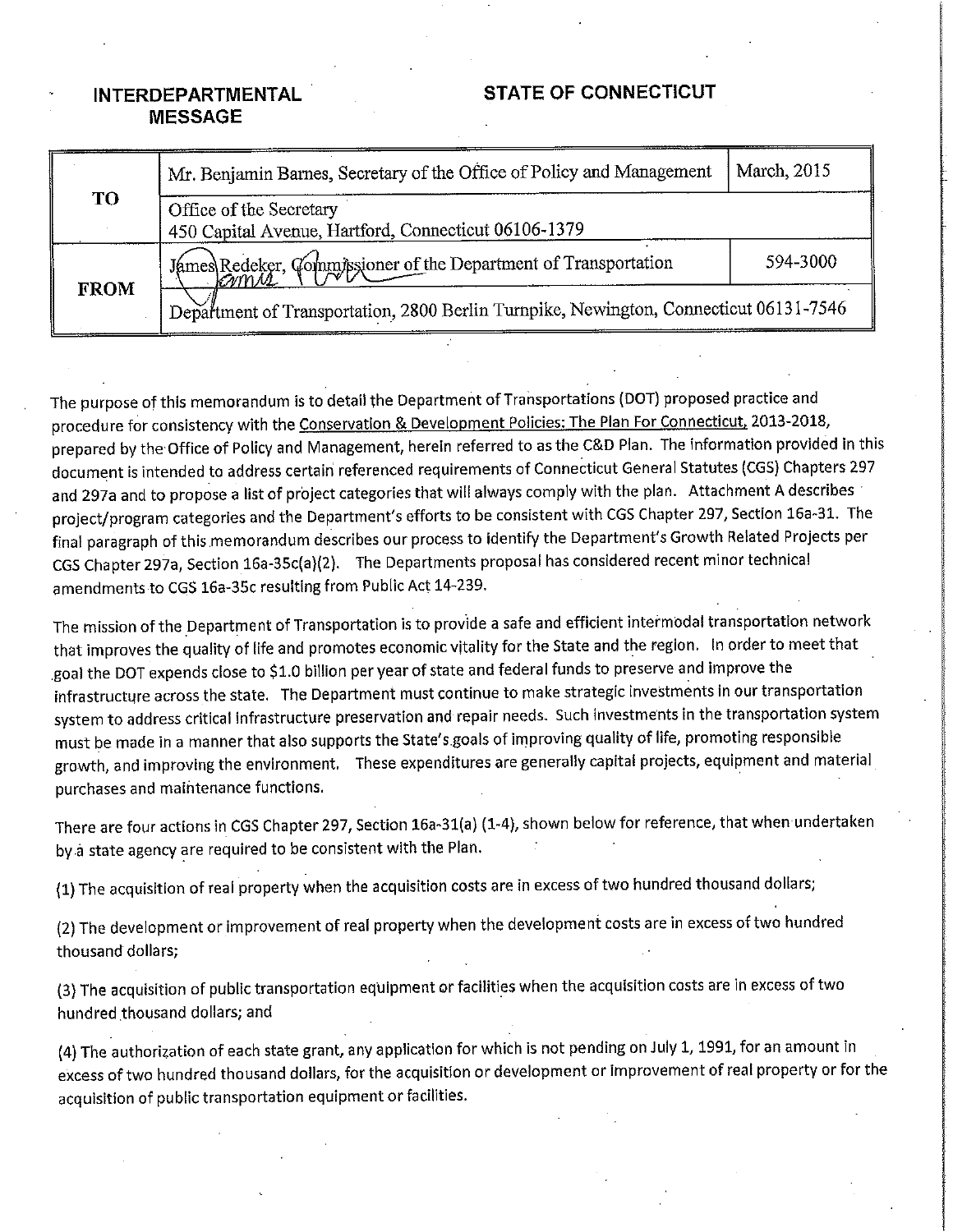## **STATE OF CONNECTICUT**

## **INTERDEPARTMENTAL MESSAGE**

| <b>TO</b>   | Mr. Benjamin Barnes, Secretary of the Office of Policy and Management                 | March, 2015 |
|-------------|---------------------------------------------------------------------------------------|-------------|
|             | Office of the Secretary<br>450 Capital Avenue, Hartford, Connecticut 06106-1379       |             |
|             | James Redeker, Commissioner of the Department of Transportation<br>KWMM               | 594-3000    |
| <b>FROM</b> | Department of Transportation, 2800 Berlin Turnpike, Newington, Connecticut 06131-7546 |             |

The purpose of this memorandum is to detail the Department of Transportations (DOT) proposed practice and procedure for consistency with the Conservation & Development Policies: The Plan For Connecticut, 2013-2018, prepared by the Office of Policy and Management, herein referred to as the C&D Plan. The information provided in this document is intended to address certain referenced requirements of Connecticut General Statutes (CGS) Chapters 297 and 297a and to propose a list of project categories that will always comply with the plan. Attachment A describes project/program categories and the Department's efforts to be consistent with CGS Chapter 297, Section 16a-31. The final paragraph of this memorandum describes our process to identify the Department's Growth Related Projects per CGS Chapter 297a, Section 16a-35c(a)(2). The Departments proposal has considered recent minor technical amendments to CGS 16a-35c resulting from Public Act 14-239.

The mission of the Department of Transportation is to provide a safe and efficient intermodal transportation network that improves the quality of life and promotes economic vitality for the State and the region. In order to meet that goal the DOT expends close to \$1.0 billion per year of state and federal funds to preserve and improve the infrastructure across the state. The Department must continue to make strategic investments in our transportation system to address critical infrastructure preservation and repair needs. Such investments in the transportation system must be made in a manner that also supports the State's goals of improving quality of life, promoting responsible growth, and improving the environment. These expenditures are generally capital projects, equipment and material purchases and maintenance functions.

There are four actions in CGS Chapter 297, Section 16a-31(a) (1-4), shown below for reference, that when undertaken by a state agency are required to be consistent with the Plan.

(1) The acquisition of real property when the acquisition costs are in excess of two hundred thousand dollars;

(2) The development or improvement of real property when the development costs are in excess of two hundred thousand dollars;

(3) The acquisition of public transportation equipment or facilities when the acquisition costs are in excess of two hundred thousand dollars; and

(4) The authorization of each state grant, any application for which is not pending on July 1, 1991, for an amount in excess of two hundred thousand dollars, for the acquisition or development or improvement of real property or for the acquisition of public transportation equipment or facilities.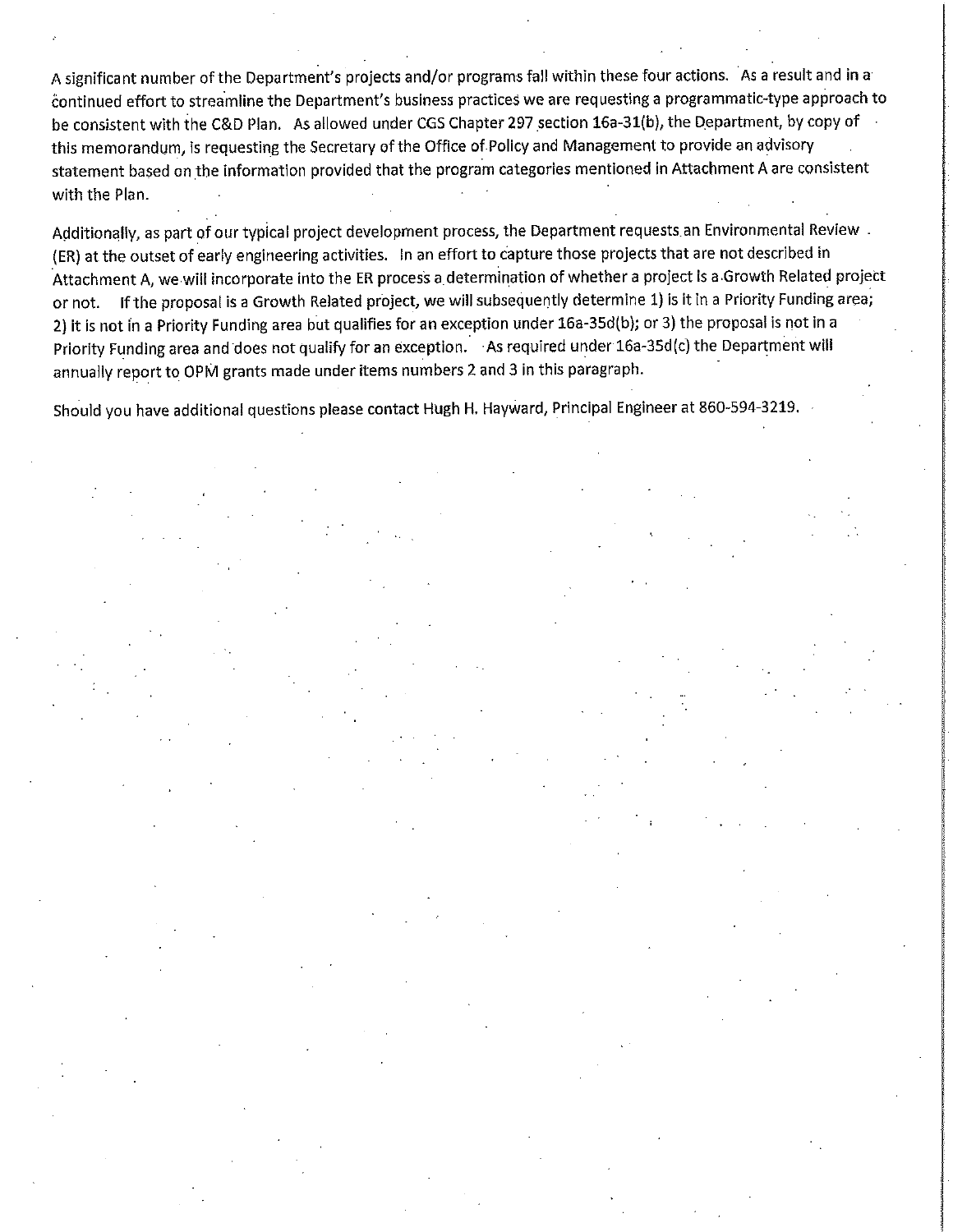A significant number of the Department's projects and/or programs fall within these four actions. As a result and in a continued effort to streamline the Department's business practices we are requesting a programmatic-type approach to be consistent with the C&D Plan. As allowed under CGS Chapter 297 section 16a-31(b), the Department, by copy of this memorandum, is requesting the Secretary of the Office of Policy and Management to provide an advisory statement based on the information provided that the program categories mentioned in Attachment A are consistent with the Plan.

Additionally, as part of our typical project development process, the Department requests an Environmental Review. (ER) at the outset of early engineering activities. In an effort to capture those projects that are not described in Attachment A, we will incorporate into the ER process a determination of whether a project is a Growth Related project or not. If the proposal is a Growth Related project, we will subsequently determine 1) is it in a Priority Funding area; 2) It is not in a Priority Funding area but qualifies for an exception under 16a-35d(b); or 3) the proposal is not in a Priority Funding area and does not qualify for an exception. As required under 16a-35d(c) the Department will annually report to OPM grants made under items numbers 2 and 3 in this paragraph.

Should you have additional questions please contact Hugh H. Hayward, Principal Engineer at 860-594-3219.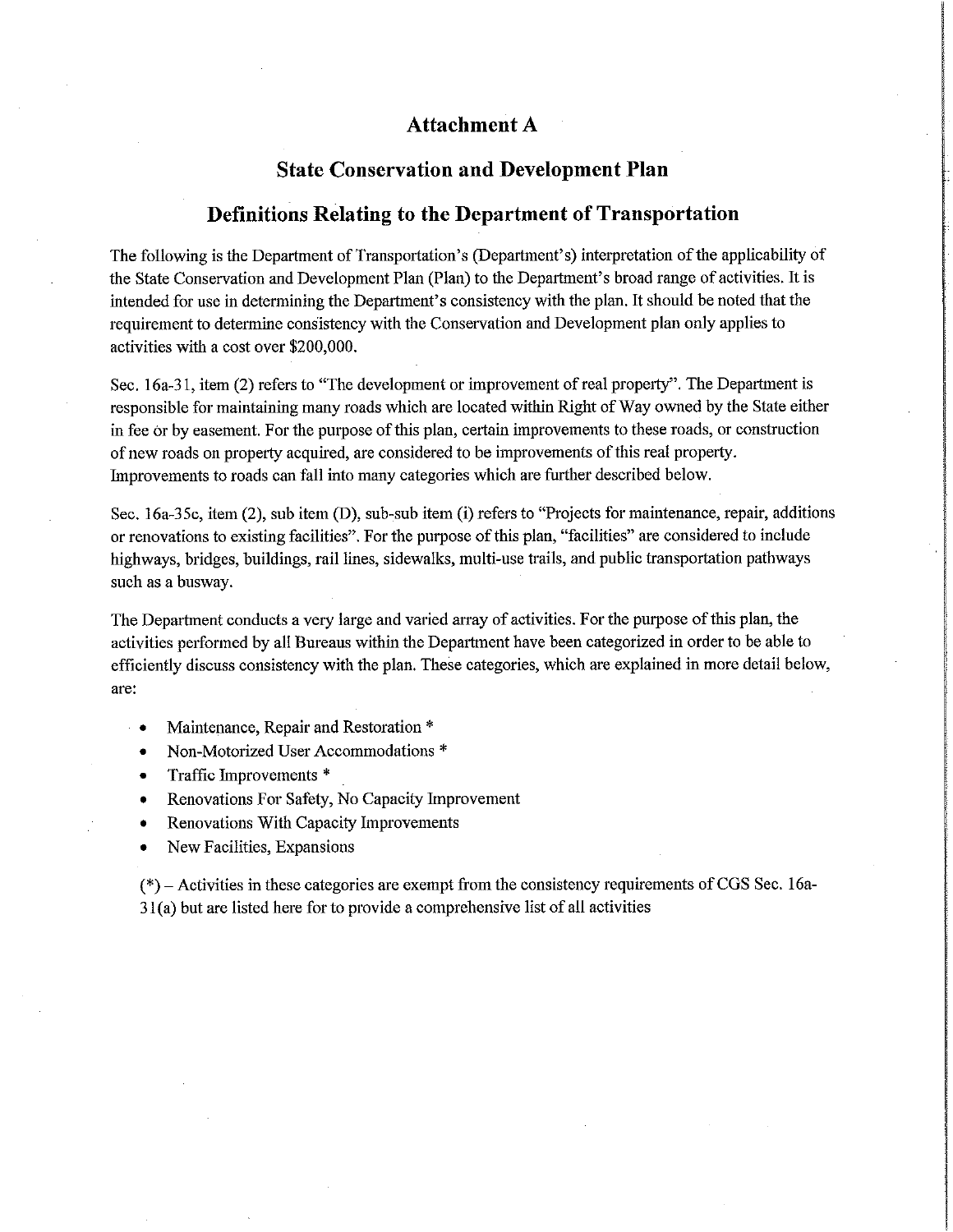## Attachment A

# **State Conservation and Development Plan**

## **Definitions Relating to the Department of Transportation**

The following is the Department of Transportation's (Department's) interpretation of the applicability of the State Conservation and Development Plan (Plan) to the Department's broad range of activities. It is intended for use in determining the Department's consistency with the plan. It should be noted that the requirement to determine consistency with the Conservation and Development plan only applies to activities with a cost over \$200,000.

Sec. 16a-31, item (2) refers to "The development or improvement of real property". The Department is responsible for maintaining many roads which are located within Right of Way owned by the State either in fee or by easement. For the purpose of this plan, certain improvements to these roads, or construction of new roads on property acquired, are considered to be improvements of this real property. Improvements to roads can fall into many categories which are further described below.

Sec. 16a-35c, item (2), sub item (D), sub-sub item (i) refers to "Projects for maintenance, repair, additions or renovations to existing facilities". For the purpose of this plan, "facilities" are considered to include highways, bridges, buildings, rail lines, sidewalks, multi-use trails, and public transportation pathways such as a busway.

The Department conducts a very large and varied array of activities. For the purpose of this plan, the activities performed by all Bureaus within the Department have been categorized in order to be able to efficiently discuss consistency with the plan. These categories, which are explained in more detail below, are:

- Maintenance, Repair and Restoration \*
- Non-Motorized User Accommodations \*  $\bullet$
- Traffic Improvements \*  $\bullet$
- Renovations For Safety, No Capacity Improvement  $\bullet$
- Renovations With Capacity Improvements  $\bullet$
- New Facilities, Expansions

 $(*)$  – Activities in these categories are exempt from the consistency requirements of CGS Sec. 16a-31(a) but are listed here for to provide a comprehensive list of all activities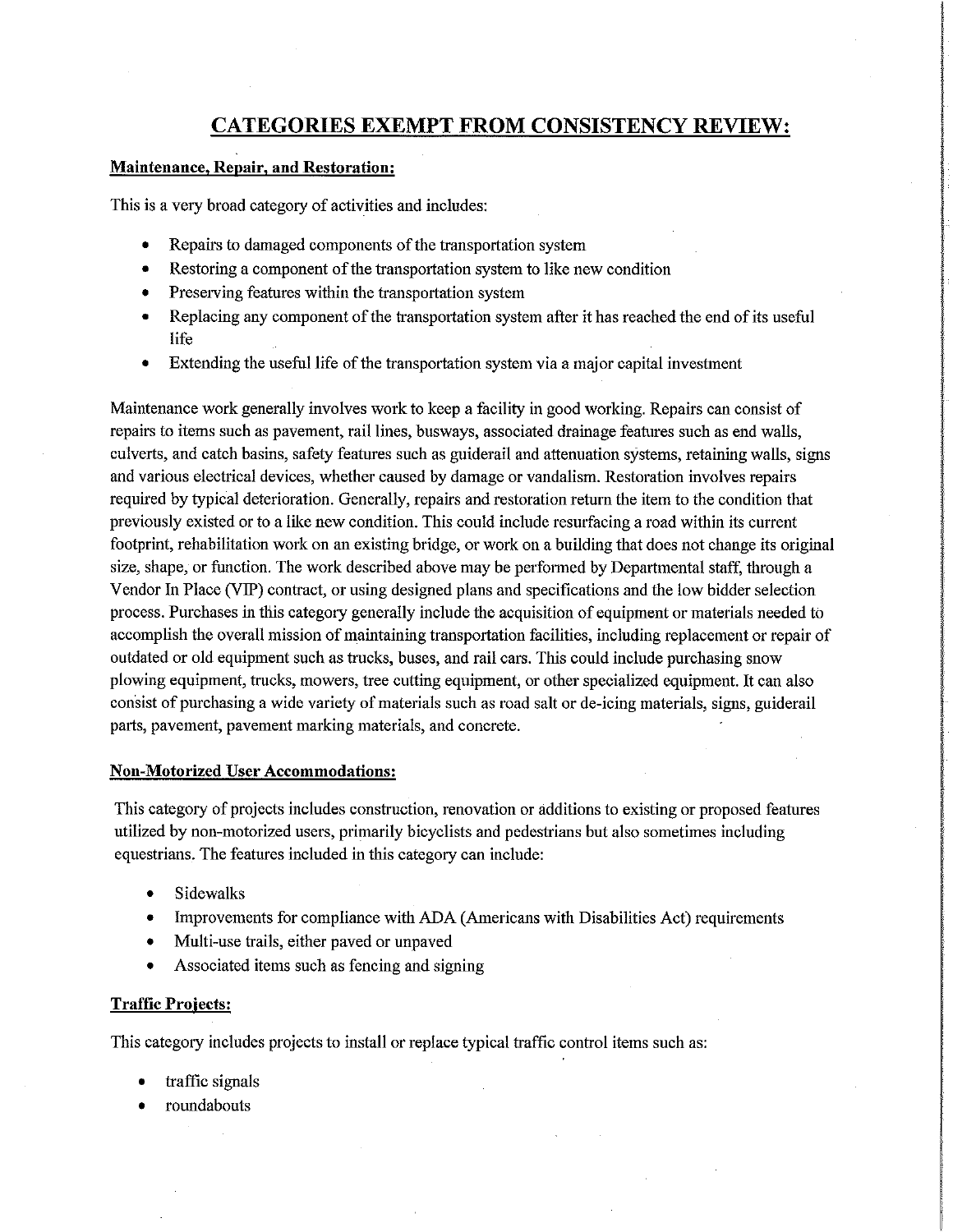# **CATEGORIES EXEMPT FROM CONSISTENCY REVIEW:**

### **Maintenance, Repair, and Restoration:**

This is a very broad category of activities and includes:

- $\bullet$ Repairs to damaged components of the transportation system
- Restoring a component of the transportation system to like new condition  $\bullet$
- Preserving features within the transportation system
- Replacing any component of the transportation system after it has reached the end of its useful life
- Extending the useful life of the transportation system via a major capital investment

Maintenance work generally involves work to keep a facility in good working. Repairs can consist of repairs to items such as pavement, rail lines, busways, associated drainage features such as end walls, culverts, and catch basins, safety features such as guiderail and attenuation systems, retaining walls, signs and various electrical devices, whether caused by damage or vandalism. Restoration involves repairs required by typical deterioration. Generally, repairs and restoration return the item to the condition that previously existed or to a like new condition. This could include resurfacing a road within its current footprint, rehabilitation work on an existing bridge, or work on a building that does not change its original size, shape, or function. The work described above may be performed by Departmental staff, through a Vendor In Place (VIP) contract, or using designed plans and specifications and the low bidder selection process. Purchases in this category generally include the acquisition of equipment or materials needed to accomplish the overall mission of maintaining transportation facilities, including replacement or repair of outdated or old equipment such as trucks, buses, and rail cars. This could include purchasing snow plowing equipment, trucks, mowers, tree cutting equipment, or other specialized equipment. It can also consist of purchasing a wide variety of materials such as road salt or de-icing materials, signs, guiderail parts, pavement, pavement marking materials, and concrete.

#### **Non-Motorized User Accommodations:**

This category of projects includes construction, renovation or additions to existing or proposed features utilized by non-motorized users, primarily bicyclists and pedestrians but also sometimes including equestrians. The features included in this category can include:

- **Sidewalks**  $\bullet$
- Improvements for compliance with ADA (Americans with Disabilities Act) requirements  $\bullet$
- Multi-use trails, either paved or unpaved
- Associated items such as fencing and signing  $\bullet$

## **Traffic Projects:**

This category includes projects to install or replace typical traffic control items such as:

- traffic signals
- roundabouts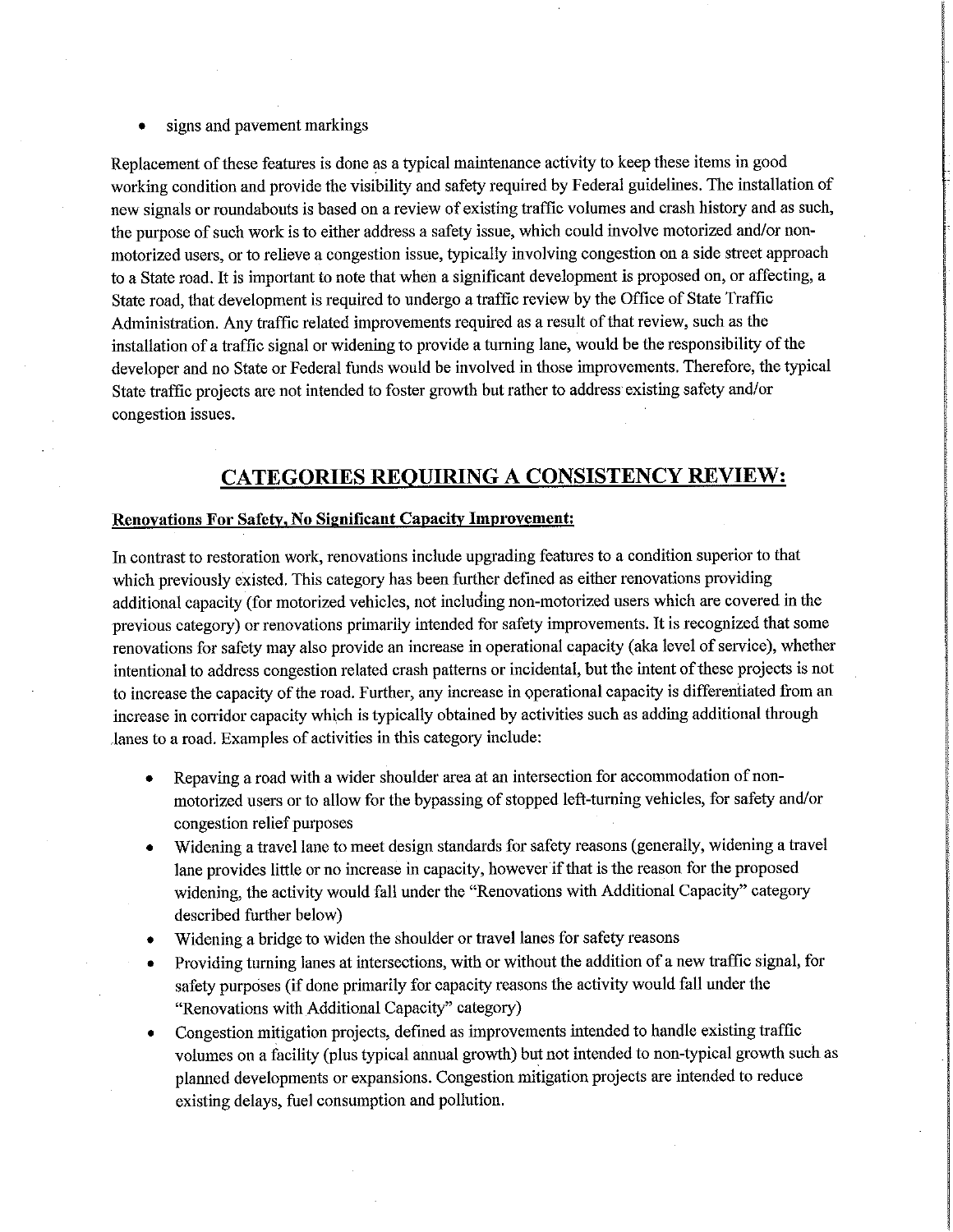signs and pavement markings

Replacement of these features is done as a typical maintenance activity to keep these items in good working condition and provide the visibility and safety required by Federal guidelines. The installation of new signals or roundabouts is based on a review of existing traffic volumes and crash history and as such, the purpose of such work is to either address a safety issue, which could involve motorized and/or nonmotorized users, or to relieve a congestion issue, typically involving congestion on a side street approach to a State road. It is important to note that when a significant development is proposed on, or affecting, a State road, that development is required to undergo a traffic review by the Office of State Traffic Administration. Any traffic related improvements required as a result of that review, such as the installation of a traffic signal or widening to provide a turning lane, would be the responsibility of the developer and no State or Federal funds would be involved in those improvements. Therefore, the typical State traffic projects are not intended to foster growth but rather to address existing safety and/or congestion issues.

## **CATEGORIES REQUIRING A CONSISTENCY REVIEW:**

#### **Renovations For Safety, No Significant Capacity Improvement:**

In contrast to restoration work, renovations include upgrading features to a condition superior to that which previously existed. This category has been further defined as either renovations providing additional capacity (for motorized vehicles, not including non-motorized users which are covered in the previous category) or renovations primarily intended for safety improvements. It is recognized that some renovations for safety may also provide an increase in operational capacity (aka level of service), whether intentional to address congestion related crash patterns or incidental, but the intent of these projects is not to increase the capacity of the road. Further, any increase in operational capacity is differentiated from an increase in corridor capacity which is typically obtained by activities such as adding additional through lanes to a road. Examples of activities in this category include:

- Repaving a road with a wider shoulder area at an intersection for accommodation of non- $\bullet$ motorized users or to allow for the bypassing of stopped left-turning vehicles, for safety and/or congestion relief purposes
- Widening a travel lane to meet design standards for safety reasons (generally, widening a travel lane provides little or no increase in capacity, however if that is the reason for the proposed widening, the activity would fall under the "Renovations with Additional Capacity" category described further below)
- Widening a bridge to widen the shoulder or travel lanes for safety reasons  $\bullet$
- Providing turning lanes at intersections, with or without the addition of a new traffic signal, for  $\bullet$ safety purposes (if done primarily for capacity reasons the activity would fall under the "Renovations with Additional Capacity" category)
- Congestion mitigation projects, defined as improvements intended to handle existing traffic volumes on a facility (plus typical annual growth) but not intended to non-typical growth such as planned developments or expansions. Congestion mitigation projects are intended to reduce existing delays, fuel consumption and pollution.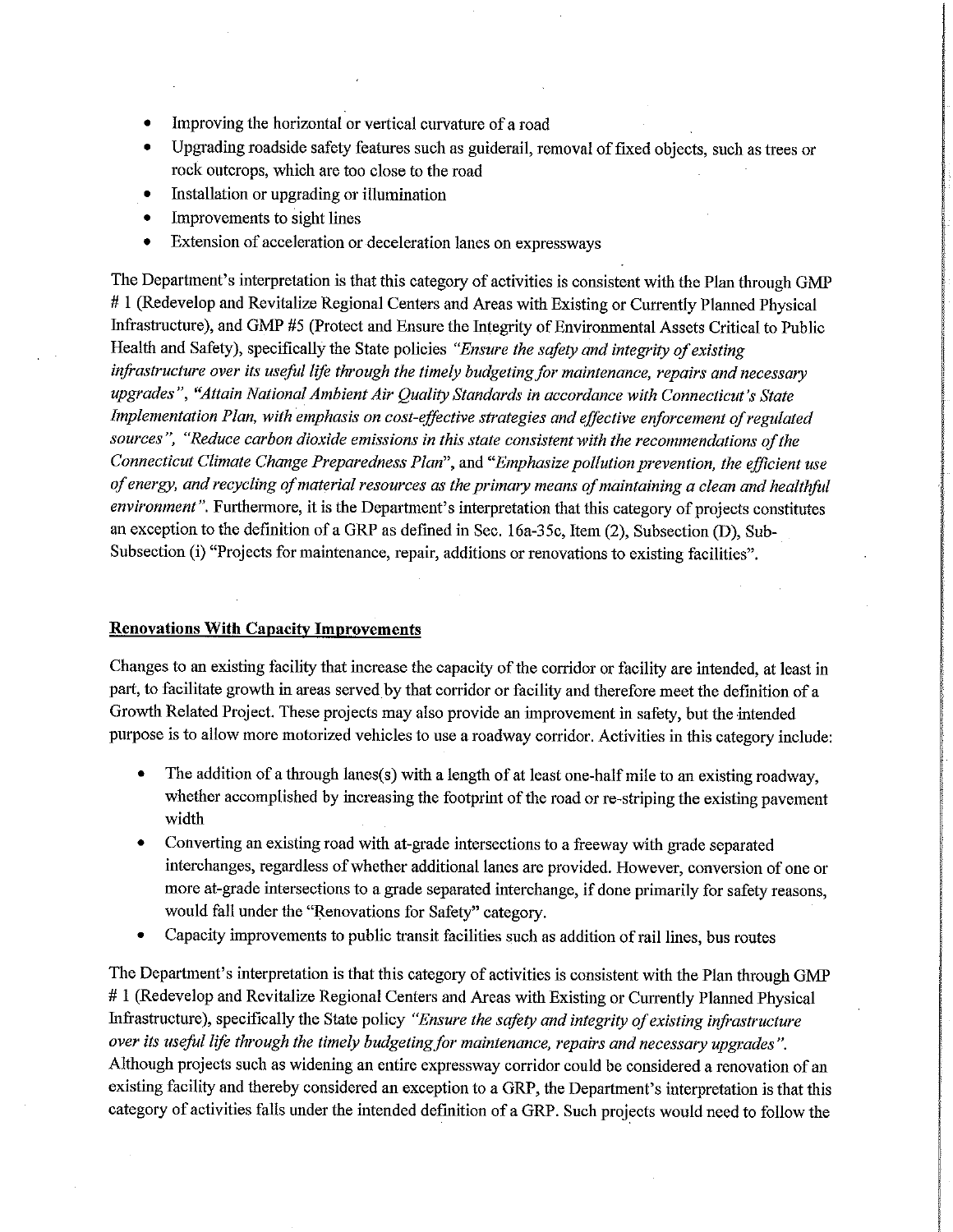- Improving the horizontal or vertical curvature of a road  $\bullet$
- Upgrading roadside safety features such as guiderail, removal of fixed objects, such as trees or  $\bullet$ rock outcrops, which are too close to the road
- Installation or upgrading or illumination  $\bullet$
- Improvements to sight lines  $\bullet$
- Extension of acceleration or deceleration lanes on expressways  $\bullet$

The Department's interpretation is that this category of activities is consistent with the Plan through GMP #1 (Redevelop and Revitalize Regional Centers and Areas with Existing or Currently Planned Physical Infrastructure), and GMP #5 (Protect and Ensure the Integrity of Environmental Assets Critical to Public Health and Safety), specifically the State policies "Ensure the safety and integrity of existing infrastructure over its useful life through the timely budgeting for maintenance, repairs and necessary upgrades", "Attain National Ambient Air Quality Standards in accordance with Connecticut's State Implementation Plan, with emphasis on cost-effective strategies and effective enforcement of regulated sources", "Reduce carbon dioxide emissions in this state consistent with the recommendations of the Connecticut Climate Change Preparedness Plan", and "Emphasize pollution prevention, the efficient use of energy, and recycling of material resources as the primary means of maintaining a clean and healthful environment". Furthermore, it is the Department's interpretation that this category of projects constitutes an exception to the definition of a GRP as defined in Sec. 16a-35c, Item (2), Subsection (D), Sub-Subsection (i) "Projects for maintenance, repair, additions or renovations to existing facilities".

#### **Renovations With Capacity Improvements**

Changes to an existing facility that increase the capacity of the corridor or facility are intended, at least in part, to facilitate growth in areas served by that corridor or facility and therefore meet the definition of a Growth Related Project. These projects may also provide an improvement in safety, but the intended purpose is to allow more motorized vehicles to use a roadway corridor. Activities in this category include:

- The addition of a through lanes(s) with a length of at least one-half mile to an existing roadway, whether accomplished by increasing the footprint of the road or re-striping the existing pavement width
- Converting an existing road with at-grade intersections to a freeway with grade separated interchanges, regardless of whether additional lanes are provided. However, conversion of one or more at-grade intersections to a grade separated interchange, if done primarily for safety reasons, would fall under the "Renovations for Safety" category.
- Capacity improvements to public transit facilities such as addition of rail lines, bus routes  $\bullet$

The Department's interpretation is that this category of activities is consistent with the Plan through GMP #1 (Redevelop and Revitalize Regional Centers and Areas with Existing or Currently Planned Physical Infrastructure), specifically the State policy "Ensure the safety and integrity of existing infrastructure over its useful life through the timely budgeting for maintenance, repairs and necessary upgrades". Although projects such as widening an entire expressway corridor could be considered a renovation of an existing facility and thereby considered an exception to a GRP, the Department's interpretation is that this category of activities falls under the intended definition of a GRP. Such projects would need to follow the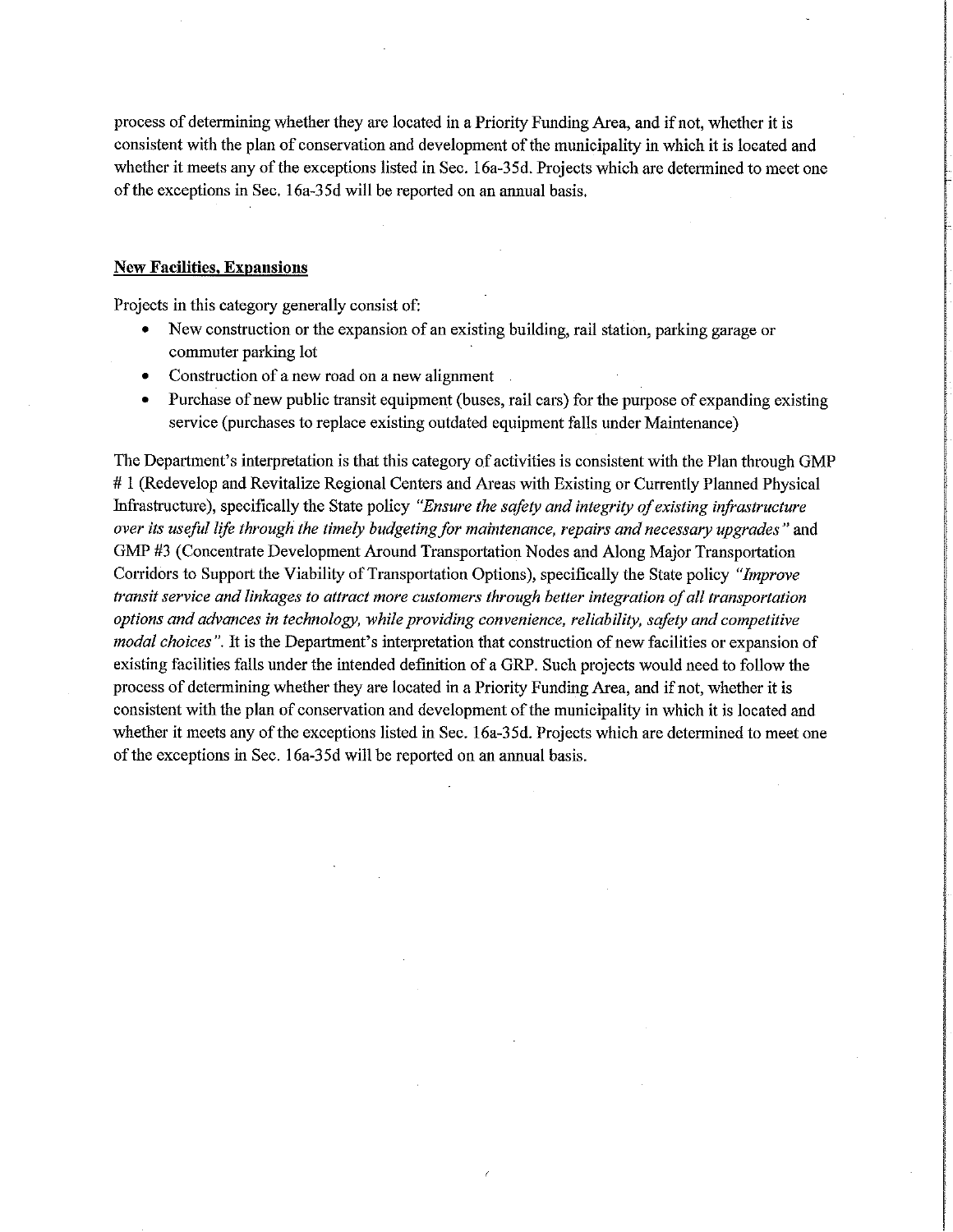process of determining whether they are located in a Priority Funding Area, and if not, whether it is consistent with the plan of conservation and development of the municipality in which it is located and whether it meets any of the exceptions listed in Sec. 16a-35d. Projects which are determined to meet one of the exceptions in Sec. 16a-35d will be reported on an annual basis.

#### **New Facilities, Expansions**

Projects in this category generally consist of:

- New construction or the expansion of an existing building, rail station, parking garage or commuter parking lot
- Construction of a new road on a new alignment  $\bullet$
- Purchase of new public transit equipment (buses, rail cars) for the purpose of expanding existing service (purchases to replace existing outdated equipment falls under Maintenance)

The Department's interpretation is that this category of activities is consistent with the Plan through GMP #1 (Redevelop and Revitalize Regional Centers and Areas with Existing or Currently Planned Physical Infrastructure), specifically the State policy "Ensure the safety and integrity of existing infrastructure over its useful life through the timely budgeting for maintenance, repairs and necessary upgrades" and GMP #3 (Concentrate Development Around Transportation Nodes and Along Major Transportation Corridors to Support the Viability of Transportation Options), specifically the State policy "Improve transit service and linkages to attract more customers through better integration of all transportation options and advances in technology, while providing convenience, reliability, safety and competitive modal choices". It is the Department's interpretation that construction of new facilities or expansion of existing facilities falls under the intended definition of a GRP. Such projects would need to follow the process of determining whether they are located in a Priority Funding Area, and if not, whether it is consistent with the plan of conservation and development of the municipality in which it is located and whether it meets any of the exceptions listed in Sec. 16a-35d. Projects which are determined to meet one of the exceptions in Sec. 16a-35d will be reported on an annual basis.